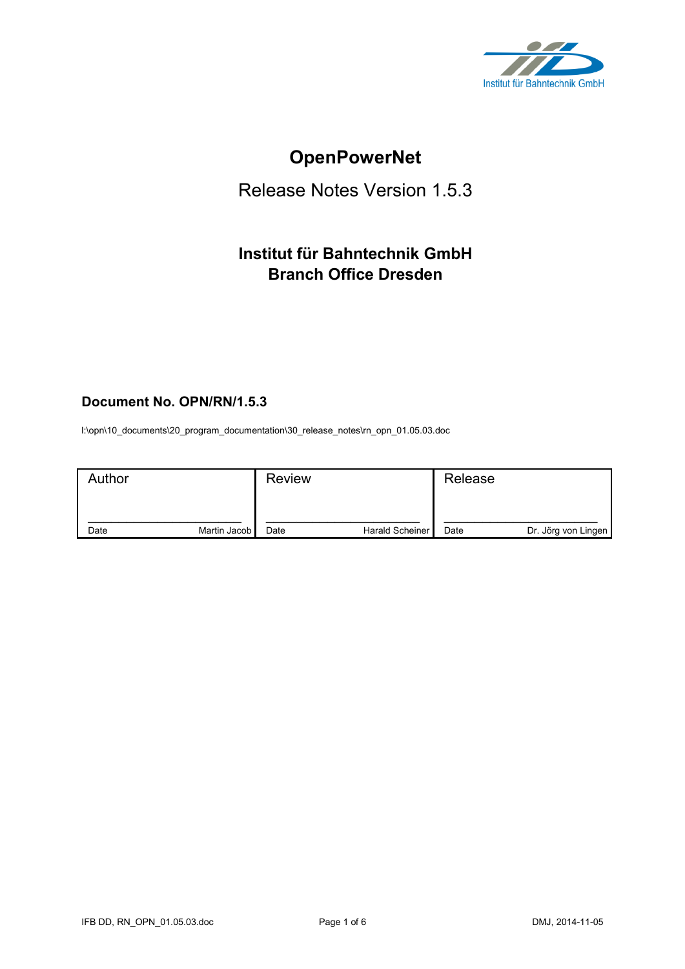

# **OpenPowerNet**

## Release Notes Version 1.5.3

## **Institut für Bahntechnik GmbH Branch Office Dresden**

## **Document No. OPN/RN/1.5.3**

l:\opn\10\_documents\20\_program\_documentation\30\_release\_notes\rn\_opn\_01.05.03.doc

| Author |              | <b>Review</b> |                 | Release |                     |
|--------|--------------|---------------|-----------------|---------|---------------------|
| Date   | Martin Jacob | Date          | Harald Scheiner | Date    | Dr. Jörg von Lingen |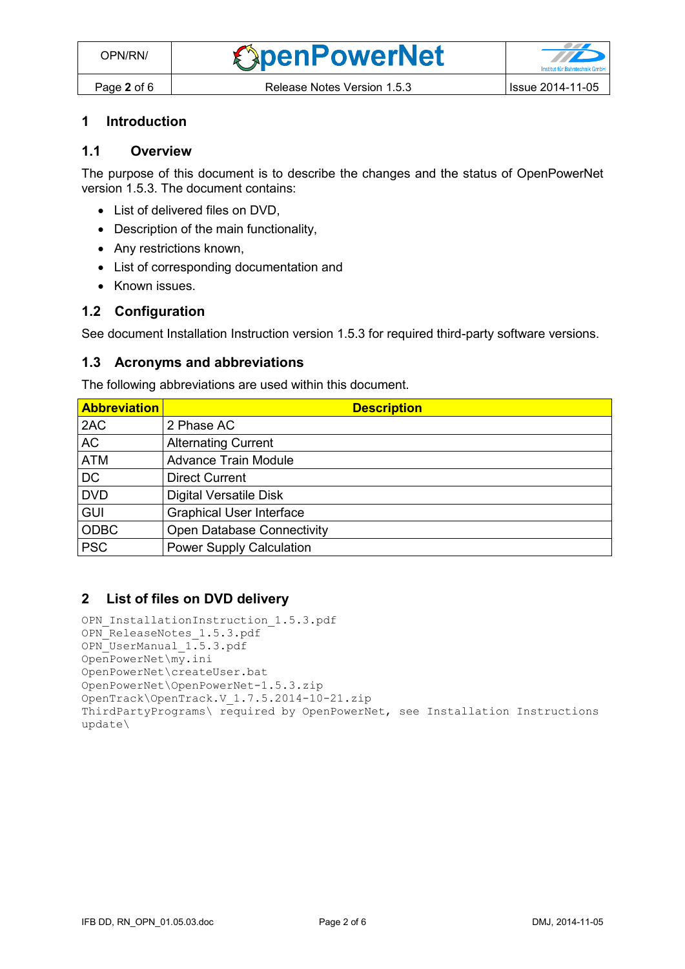#### **1 Introduction**

## **1.1 Overview**

The purpose of this document is to describe the changes and the status of OpenPowerNet version 1.5.3. The document contains:

- List of delivered files on DVD,
- Description of the main functionality,
- Any restrictions known,
- List of corresponding documentation and
- Known issues.

#### **1.2 Configuration**

See document Installation Instruction version 1.5.3 for required third-party software versions.

#### **1.3 Acronyms and abbreviations**

The following abbreviations are used within this document.

| <b>Abbreviation</b> | <b>Description</b>                |
|---------------------|-----------------------------------|
| 2AC                 | 2 Phase AC                        |
| <b>AC</b>           | <b>Alternating Current</b>        |
| <b>ATM</b>          | <b>Advance Train Module</b>       |
| <b>DC</b>           | <b>Direct Current</b>             |
| <b>DVD</b>          | <b>Digital Versatile Disk</b>     |
| <b>GUI</b>          | <b>Graphical User Interface</b>   |
| <b>ODBC</b>         | <b>Open Database Connectivity</b> |
| <b>PSC</b>          | <b>Power Supply Calculation</b>   |

#### **2 List of files on DVD delivery**

```
OPN InstallationInstruction 1.5.3.pdf
OPN_ReleaseNotes_1.5.3.pdf
OPN_UserManual_1.5.3.pdf
OpenPowerNet\my.ini
OpenPowerNet\createUser.bat
OpenPowerNet\OpenPowerNet-1.5.3.zip
OpenTrack\OpenTrack.V_1.7.5.2014-10-21.zip
ThirdPartyPrograms\ required by OpenPowerNet, see Installation Instructions
update\
```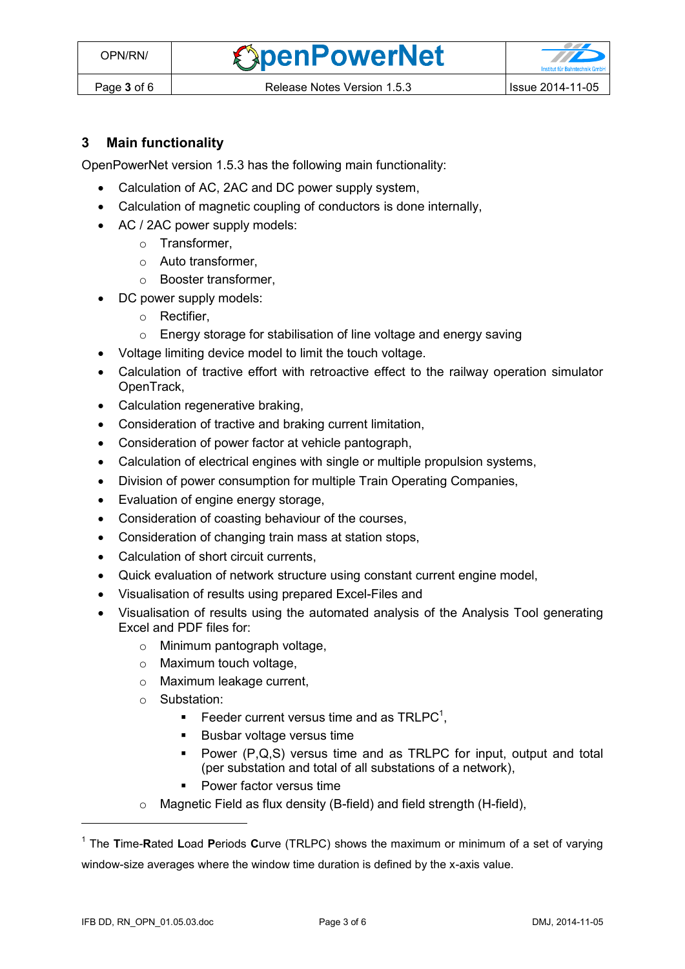**OpenPowerNet** 

## **3 Main functionality**

OpenPowerNet version 1.5.3 has the following main functionality:

- Calculation of AC, 2AC and DC power supply system,
- Calculation of magnetic coupling of conductors is done internally,
- AC / 2AC power supply models:
	- o Transformer,
	- o Auto transformer,
	- o Booster transformer,
- DC power supply models:
	- o Rectifier,
	- o Energy storage for stabilisation of line voltage and energy saving
- Voltage limiting device model to limit the touch voltage.
- Calculation of tractive effort with retroactive effect to the railway operation simulator OpenTrack,
- Calculation regenerative braking,
- Consideration of tractive and braking current limitation,
- Consideration of power factor at vehicle pantograph,
- Calculation of electrical engines with single or multiple propulsion systems,
- Division of power consumption for multiple Train Operating Companies,
- Evaluation of engine energy storage,
- Consideration of coasting behaviour of the courses,
- Consideration of changing train mass at station stops,
- Calculation of short circuit currents,
- Quick evaluation of network structure using constant current engine model,
- Visualisation of results using prepared Excel-Files and
- <span id="page-2-0"></span> Visualisation of results using the automated analysis of the Analysis Tool generating Excel and PDF files for:
	- o Minimum pantograph voltage,
	- o Maximum touch voltage,
	- o Maximum leakage current,
	- o Substation:
		- Feeder current versus time and as  $TRLPC<sup>1</sup>$ ,
		- **Busbar voltage versus time**
		- Power (P,Q,S) versus time and as TRLPC for input, output and total (per substation and total of all substations of a network),
		- **•** Power factor versus time
	- o Magnetic Field as flux density (B-field) and field strength (H-field),

 $\overline{a}$ 

<sup>1</sup> The **T**ime-**R**ated **L**oad **P**eriods **C**urve (TRLPC) shows the maximum or minimum of a set of varying window-size averages where the window time duration is defined by the x-axis value.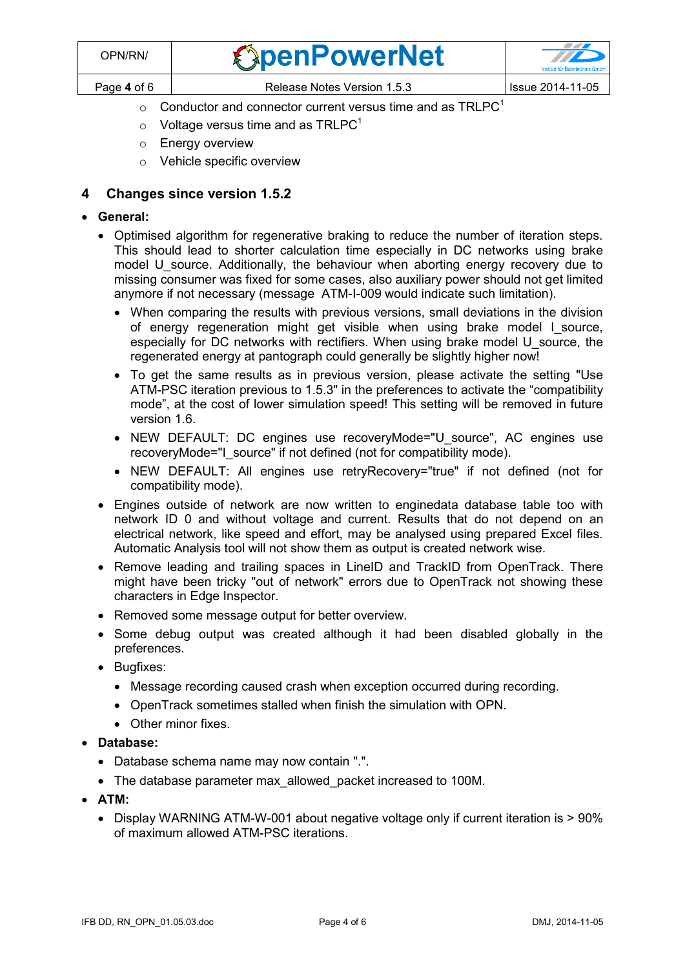| OPN/RN/     | <b><i><u>SpenPowerNet</u></i></b> | $\mathcal{L}$<br><b>Institut für Bahntechnik GmbH</b> |
|-------------|-----------------------------------|-------------------------------------------------------|
| Page 4 of 6 | Release Notes Version 1.5.3       | Issue 2014-11-05                                      |

- $\circ$  [C](#page-2-0)onductor and connector current versus time and as TRLPC<sup>1</sup>
- $\circ$  Voltage versus time and as TRLPC<sup>[1](#page-2-0)</sup>
- o Energy overview
- o Vehicle specific overview

## **4 Changes since version 1.5.2**

- **General:**
	- Optimised algorithm for regenerative braking to reduce the number of iteration steps. This should lead to shorter calculation time especially in DC networks using brake model U source. Additionally, the behaviour when aborting energy recovery due to missing consumer was fixed for some cases, also auxiliary power should not get limited anymore if not necessary (message ATM-I-009 would indicate such limitation).
		- When comparing the results with previous versions, small deviations in the division of energy regeneration might get visible when using brake model I source, especially for DC networks with rectifiers. When using brake model U\_source, the regenerated energy at pantograph could generally be slightly higher now!
		- To get the same results as in previous version, please activate the setting "Use ATM-PSC iteration previous to 1.5.3" in the preferences to activate the "compatibility mode", at the cost of lower simulation speed! This setting will be removed in future version 1.6.
		- NEW DEFAULT: DC engines use recoveryMode="U source", AC engines use recoveryMode="I\_source" if not defined (not for compatibility mode).
		- NEW DEFAULT: All engines use retryRecovery="true" if not defined (not for compatibility mode).
	- Engines outside of network are now written to enginedata database table too with network ID 0 and without voltage and current. Results that do not depend on an electrical network, like speed and effort, may be analysed using prepared Excel files. Automatic Analysis tool will not show them as output is created network wise.
	- Remove leading and trailing spaces in LineID and TrackID from OpenTrack. There might have been tricky "out of network" errors due to OpenTrack not showing these characters in Edge Inspector.
	- Removed some message output for better overview.
	- Some debug output was created although it had been disabled globally in the preferences.
	- Bugfixes:
		- Message recording caused crash when exception occurred during recording.
		- OpenTrack sometimes stalled when finish the simulation with OPN.
		- Other minor fixes.
- **Database:**
	- Database schema name may now contain ".".
	- The database parameter max allowed packet increased to 100M.
- **ATM:**
	- Display WARNING ATM-W-001 about negative voltage only if current iteration is > 90% of maximum allowed ATM-PSC iterations.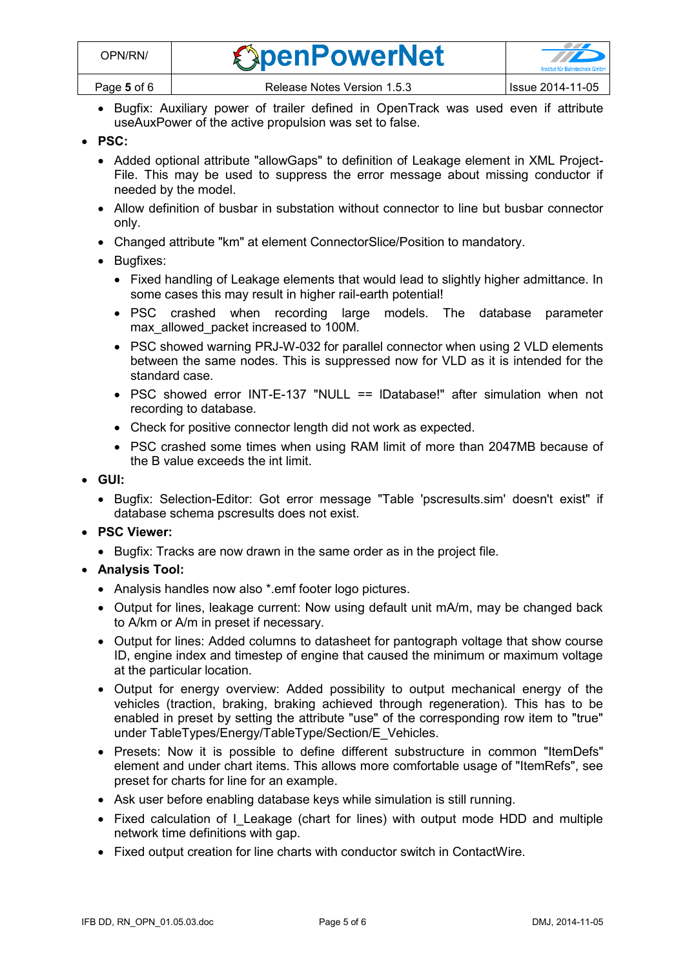- Bugfix: Auxiliary power of trailer defined in OpenTrack was used even if attribute useAuxPower of the active propulsion was set to false.
- **PSC:**
	- Added optional attribute "allowGaps" to definition of Leakage element in XML Project-File. This may be used to suppress the error message about missing conductor if needed by the model.
	- Allow definition of busbar in substation without connector to line but busbar connector only.
	- Changed attribute "km" at element ConnectorSlice/Position to mandatory.
	- Bugfixes:
		- Fixed handling of Leakage elements that would lead to slightly higher admittance. In some cases this may result in higher rail-earth potential!
		- PSC crashed when recording large models. The database parameter max allowed packet increased to 100M.
		- PSC showed warning PRJ-W-032 for parallel connector when using 2 VLD elements between the same nodes. This is suppressed now for VLD as it is intended for the standard case.
		- PSC showed error INT-E-137 "NULL == IDatabase!" after simulation when not recording to database.
		- Check for positive connector length did not work as expected.
		- PSC crashed some times when using RAM limit of more than 2047MB because of the B value exceeds the int limit.
- **GUI:**
	- Bugfix: Selection-Editor: Got error message "Table 'pscresults.sim' doesn't exist" if database schema pscresults does not exist.
- **PSC Viewer:**
	- Bugfix: Tracks are now drawn in the same order as in the project file.
- **Analysis Tool:**
	- Analysis handles now also \*.emf footer logo pictures.
	- Output for lines, leakage current: Now using default unit mA/m, may be changed back to A/km or A/m in preset if necessary.
	- Output for lines: Added columns to datasheet for pantograph voltage that show course ID, engine index and timestep of engine that caused the minimum or maximum voltage at the particular location.
	- Output for energy overview: Added possibility to output mechanical energy of the vehicles (traction, braking, braking achieved through regeneration). This has to be enabled in preset by setting the attribute "use" of the corresponding row item to "true" under TableTypes/Energy/TableType/Section/E\_Vehicles.
	- Presets: Now it is possible to define different substructure in common "ItemDefs" element and under chart items. This allows more comfortable usage of "ItemRefs", see preset for charts for line for an example.
	- Ask user before enabling database keys while simulation is still running.
	- Fixed calculation of I\_Leakage (chart for lines) with output mode HDD and multiple network time definitions with gap.
	- Fixed output creation for line charts with conductor switch in ContactWire.